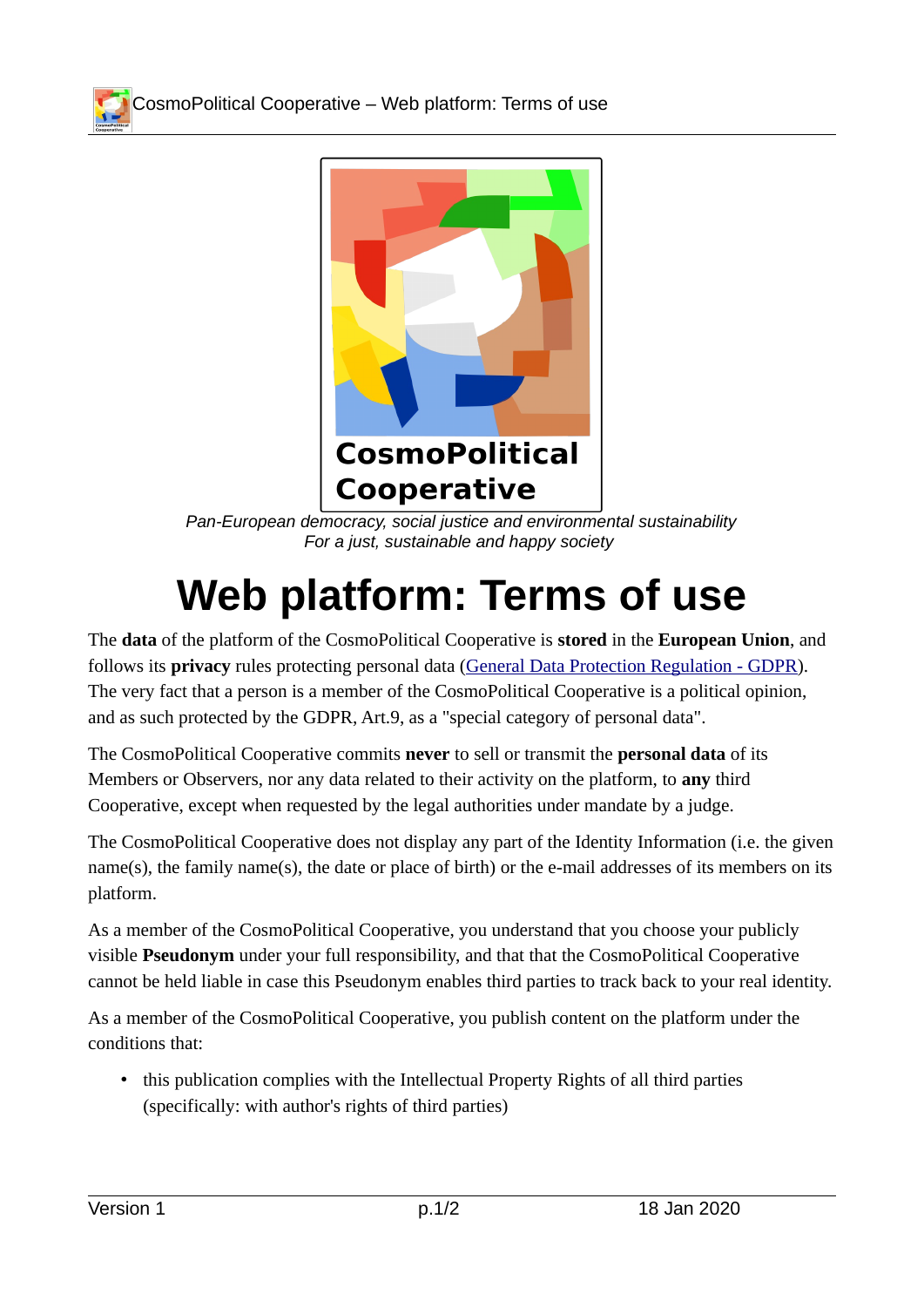CosmoPolitical Cooperative – Web platform: Terms of use



*Pan-European democracy, social justice and environmental sustainability For a just, sustainable and happy society* 

## **Web platform: Terms of use**

The **data** of the platform of the CosmoPolitical Cooperative is **stored** in the **European Union**, and follows its **privacy** rules protecting personal data [\(General Data Protection Regulation - GDPR](https://eur-lex.europa.eu/legal-content/en/TXT/?uri=CELEX:32016R0679)). The very fact that a person is a member of the CosmoPolitical Cooperative is a political opinion, and as such protected by the GDPR, Art.9, as a "special category of personal data".

The CosmoPolitical Cooperative commits **never** to sell or transmit the **personal data** of its Members or Observers, nor any data related to their activity on the platform, to **any** third Cooperative, except when requested by the legal authorities under mandate by a judge.

The CosmoPolitical Cooperative does not display any part of the Identity Information (i.e. the given name(s), the family name(s), the date or place of birth) or the e-mail addresses of its members on its platform.

As a member of the CosmoPolitical Cooperative, you understand that you choose your publicly visible **Pseudonym** under your full responsibility, and that that the CosmoPolitical Cooperative cannot be held liable in case this Pseudonym enables third parties to track back to your real identity.

As a member of the CosmoPolitical Cooperative, you publish content on the platform under the conditions that:

• this publication complies with the Intellectual Property Rights of all third parties (specifically: with author's rights of third parties)